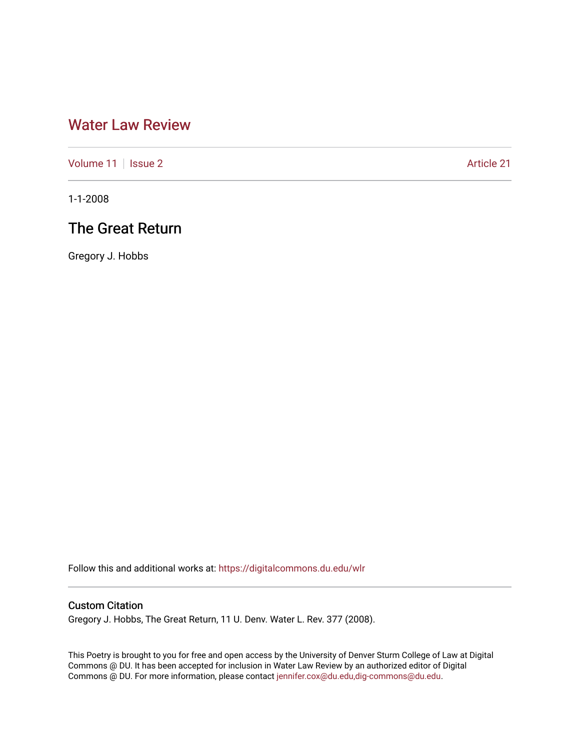# [Water Law Review](https://digitalcommons.du.edu/wlr)

[Volume 11](https://digitalcommons.du.edu/wlr/vol11) | [Issue 2](https://digitalcommons.du.edu/wlr/vol11/iss2) Article 21

1-1-2008

# The Great Return

Gregory J. Hobbs

Follow this and additional works at: [https://digitalcommons.du.edu/wlr](https://digitalcommons.du.edu/wlr?utm_source=digitalcommons.du.edu%2Fwlr%2Fvol11%2Fiss2%2F21&utm_medium=PDF&utm_campaign=PDFCoverPages) 

### Custom Citation

Gregory J. Hobbs, The Great Return, 11 U. Denv. Water L. Rev. 377 (2008).

This Poetry is brought to you for free and open access by the University of Denver Sturm College of Law at Digital Commons @ DU. It has been accepted for inclusion in Water Law Review by an authorized editor of Digital Commons @ DU. For more information, please contact [jennifer.cox@du.edu,dig-commons@du.edu.](mailto:jennifer.cox@du.edu,dig-commons@du.edu)